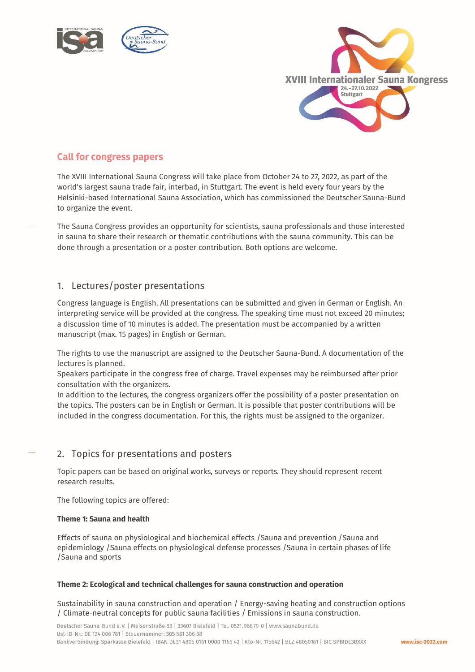



## **Call for congress papers**

The XVIII International Sauna Congress will take place from October 24 to 27, 2022, as part of the world's largest sauna trade fair, interbad, in Stuttgart. The event is held every four years by the Helsinki-based International Sauna Association, which has commissioned the Deutscher Sauna-Bund to organize the event.

The Sauna Congress provides an opportunity for scientists, sauna professionals and those interested in sauna to share their research or thematic contributions with the sauna community. This can be done through a presentation or a poster contribution. Both options are welcome.

### 1. Lectures/poster presentations

Congress language is English. All presentations can be submitted and given in German or English. An interpreting service will be provided at the congress. The speaking time must not exceed 20 minutes; a discussion time of 10 minutes is added. The presentation must be accompanied by a written manuscript (max. 15 pages) in English or German.

The rights to use the manuscript are assigned to the Deutscher Sauna-Bund. A documentation of the lectures is planned.

Speakers participate in the congress free of charge. Travel expenses may be reimbursed after prior consultation with the organizers.

In addition to the lectures, the congress organizers offer the possibility of a poster presentation on the topics. The posters can be in English or German. It is possible that poster contributions will be included in the congress documentation. For this, the rights must be assigned to the organizer.

# 2. Topics for presentations and posters

Topic papers can be based on original works, surveys or reports. They should represent recent research results.

The following topics are offered:

#### **Theme 1: Sauna and health**

Effects of sauna on physiological and biochemical effects /Sauna and prevention /Sauna and epidemiology /Sauna effects on physiological defense processes /Sauna in certain phases of life /Sauna and sports

#### **Theme 2: Ecological and technical challenges for sauna construction and operation**

Sustainability in sauna construction and operation / Energy-saving heating and construction options / Climate-neutral concepts for public sauna facilities / Emissions in sauna construction.